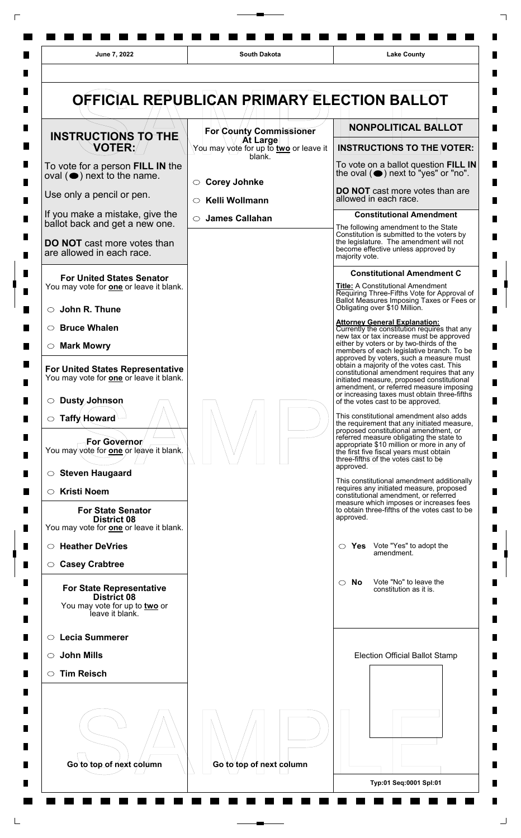

 $\Box$ 

 $\Box$